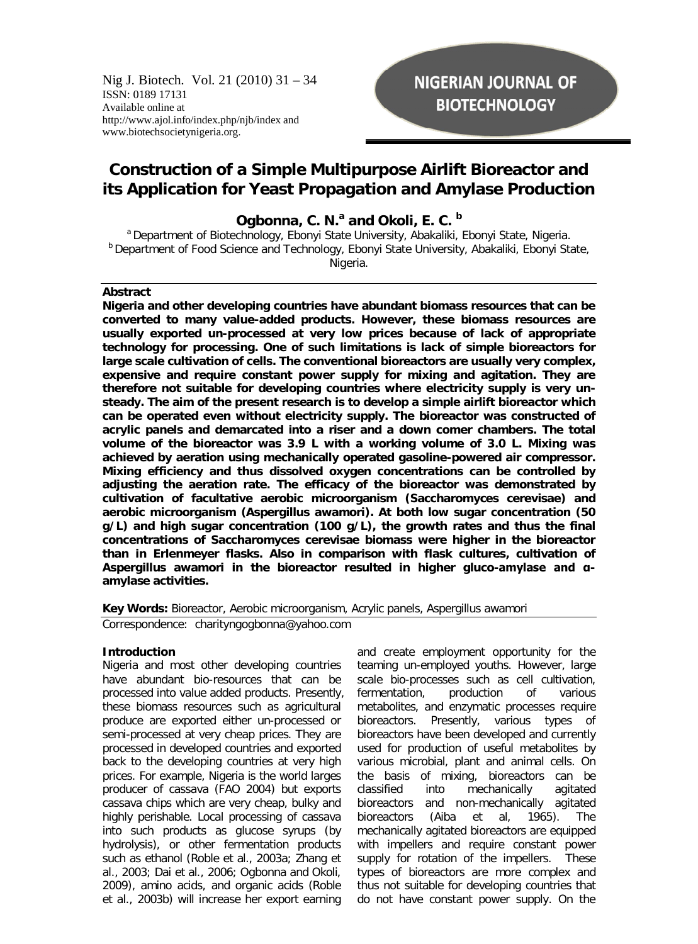Nig J. Biotech. Vol. 21 (2010) 31 – 34 ISSN: 0189 17131 Available online at http://www.ajol.info/index.php/njb/index and www.biotechsocietynigeria.org.

# **NIGERIAN JOURNAL OF BIOTECHNOLOGY**

# **Construction of a Simple Multipurpose Airlift Bioreactor and its Application for Yeast Propagation and Amylase Production**

**Ogbonna, C. N.<sup>a</sup> and Okoli, E. C. <sup>b</sup>**

<sup>a</sup> Department of Biotechnology, Ebonyi State University, Abakaliki, Ebonyi State, Nigeria. **b** Department of Food Science and Technology, Ebonyi State University, Abakaliki, Ebonyi State, Nigeria.

#### **Abstract**

**Nigeria and other developing countries have abundant biomass resources that can be converted to many value-added products. However, these biomass resources are usually exported un-processed at very low prices because of lack of appropriate technology for processing. One of such limitations is lack of simple bioreactors for large scale cultivation of cells. The conventional bioreactors are usually very complex, expensive and require constant power supply for mixing and agitation. They are therefore not suitable for developing countries where electricity supply is very unsteady. The aim of the present research is to develop a simple airlift bioreactor which can be operated even without electricity supply. The bioreactor was constructed of acrylic panels and demarcated into a riser and a down comer chambers. The total volume of the bioreactor was 3.9 L with a working volume of 3.0 L. Mixing was achieved by aeration using mechanically operated gasoline-powered air compressor. Mixing efficiency and thus dissolved oxygen concentrations can be controlled by adjusting the aeration rate. The efficacy of the bioreactor was demonstrated by cultivation of facultative aerobic microorganism (Saccharomyces cerevisae) and aerobic microorganism (Aspergillus awamori). At both low sugar concentration (50 g/L) and high sugar concentration (100 g/L), the growth rates and thus the final concentrations of Saccharomyces cerevisae biomass were higher in the bioreactor than in Erlenmeyer flasks. Also in comparison with flask cultures, cultivation of Aspergillus awamori in the bioreactor resulted in higher gluco-amylase and αamylase activities.**

## **Key Words:** Bioreactor, Aerobic microorganism, Acrylic panels, *Aspergillus awamori Correspondence: charityngogbonna@yahoo.com*

#### **Introduction**

Nigeria and most other developing countries have abundant bio-resources that can be processed into value added products. Presently, these biomass resources such as agricultural produce are exported either un-processed or semi-processed at very cheap prices. They are processed in developed countries and exported back to the developing countries at very high prices. For example, Nigeria is the world larges producer of cassava (FAO 2004) but exports cassava chips which are very cheap, bulky and highly perishable. Local processing of cassava into such products as glucose syrups (by hydrolysis), or other fermentation products such as ethanol (Roble et al., 2003a; Zhang et al., 2003; Dai et al., 2006; Ogbonna and Okoli, 2009), amino acids, and organic acids (Roble et al., 2003b) will increase her export earning and create employment opportunity for the teaming un-employed youths. However, large scale bio-processes such as cell cultivation, fermentation, production of various metabolites, and enzymatic processes require bioreactors. Presently, various types of bioreactors have been developed and currently used for production of useful metabolites by various microbial, plant and animal cells. On the basis of mixing, bioreactors can be classified into mechanically agitated bioreactors and non-mechanically agitated bioreactors (Aiba et al, 1965). The mechanically agitated bioreactors are equipped with impellers and require constant power supply for rotation of the impellers. These types of bioreactors are more complex and thus not suitable for developing countries that do not have constant power supply. On the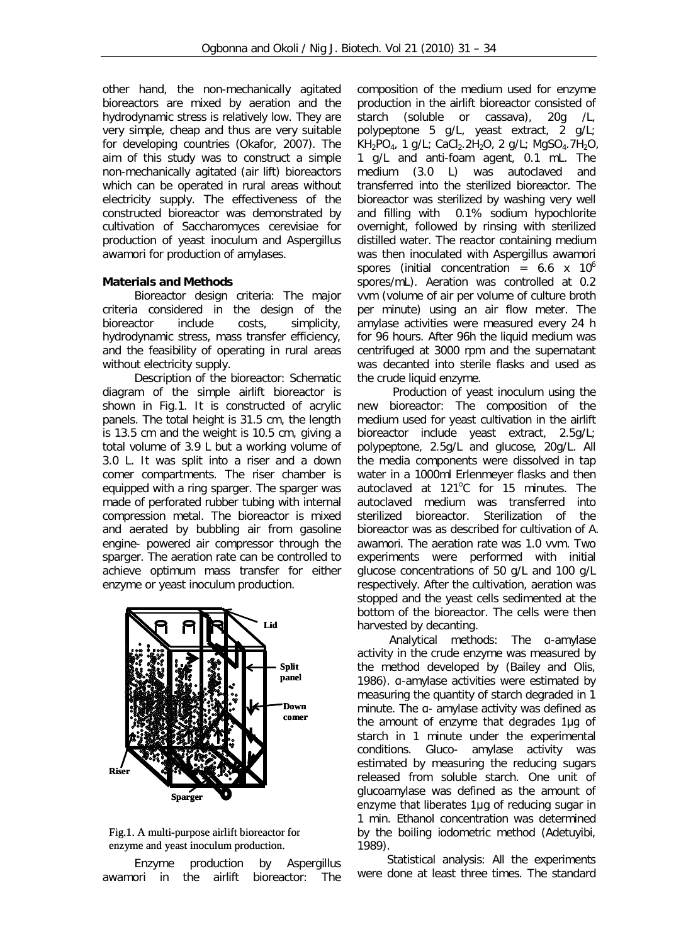other hand, the non-mechanically agitated bioreactors are mixed by aeration and the hydrodynamic stress is relatively low. They are very simple, cheap and thus are very suitable for developing countries (Okafor, 2007). The aim of this study was to construct a simple non-mechanically agitated (air lift) bioreactors which can be operated in rural areas without electricity supply. The effectiveness of the constructed bioreactor was demonstrated by cultivation of *Saccharomyces cerevisiae* for production of yeast inoculum and *Aspergillus awamori* for production of amylases.

## **Materials and Methods**

 *Bioreactor design criteria*: The major criteria considered in the design of the bioreactor include costs, simplicity, hydrodynamic stress, mass transfer efficiency, and the feasibility of operating in rural areas without electricity supply.

 *Description of the bioreactor*: Schematic diagram of the simple airlift bioreactor is shown in Fig.1. It is constructed of acrylic panels. The total height is 31.5 cm, the length is 13.5 cm and the weight is 10.5 cm, giving a total volume of 3.9 L but a working volume of 3.0 L. It was split into a riser and a down comer compartments. The riser chamber is equipped with a ring sparger. The sparger was made of perforated rubber tubing with internal compression metal. The bioreactor is mixed and aerated by bubbling air from gasoline engine- powered air compressor through the sparger. The aeration rate can be controlled to achieve optimum mass transfer for either enzyme or yeast inoculum production.



Fig.1. A multi-purpose airlift bioreactor for enzyme and yeast inoculum production.

 *Enzyme production by Aspergillus awamori in the airlift bioreactor*: The composition of the medium used for enzyme production in the airlift bioreactor consisted of starch (soluble or cassava), 20g /L, polypeptone 5 g/L, yeast extract, 2 g/L;  $KH_{2}PO_{4}$ , 1 g/L; CaCl<sub>2</sub>.2H<sub>2</sub>O, 2 g/L; MgSO<sub>4</sub>.7H<sub>2</sub>O, 1 g/L and anti-foam agent, 0.1 mL. The medium (3.0 L) was autoclaved and transferred into the sterilized bioreactor. The bioreactor was sterilized by washing very well and filling with 0.1% sodium hypochlorite overnight, followed by rinsing with sterilized distilled water. The reactor containing medium was then inoculated with *Aspergillus awamori* spores (initial concentration =  $6.6 \times 10^6$ spores/mL). Aeration was controlled at 0.2 vvm (volume of air per volume of culture broth per minute) using an air flow meter. The amylase activities were measured every 24 h for 96 hours. After 96h the liquid medium was centrifuged at 3000 rpm and the supernatant was decanted into sterile flasks and used as the crude liquid enzyme.

 *Production of yeast inoculum using the new bioreactor*: The composition of the medium used for yeast cultivation in the airlift bioreactor include yeast extract, 2.5g/L; polypeptone, 2.5g/L and glucose, 20g/L. All the media components were dissolved in tap water in a 1000ml Erlenmeyer flasks and then autoclaved at 121°C for 15 minutes. The autoclaved medium was transferred into sterilized bioreactor. Sterilization of the bioreactor was as described for cultivation of *A. awamori*. The aeration rate was 1.0 vvm. Two experiments were performed with initial glucose concentrations of 50 g/L and 100 g/L respectively. After the cultivation, aeration was stopped and the yeast cells sedimented at the bottom of the bioreactor. The cells were then harvested by decanting.

 *Analytical methods*: The α-amylase activity in the crude enzyme was measured by the method developed by (Bailey and Olis, 1986). α-amylase activities were estimated by measuring the quantity of starch degraded in 1 minute. The a- amylase activity was defined as the amount of enzyme that degrades 1µg of starch in 1 minute under the experimental conditions. Gluco- amylase activity was estimated by measuring the reducing sugars released from soluble starch. One unit of glucoamylase was defined as the amount of enzyme that liberates 1µg of reducing sugar in 1 min. Ethanol concentration was determined by the boiling iodometric method (Adetuyibi, 1989).

*Statistical analysis*: All the experiments were done at least three times. The standard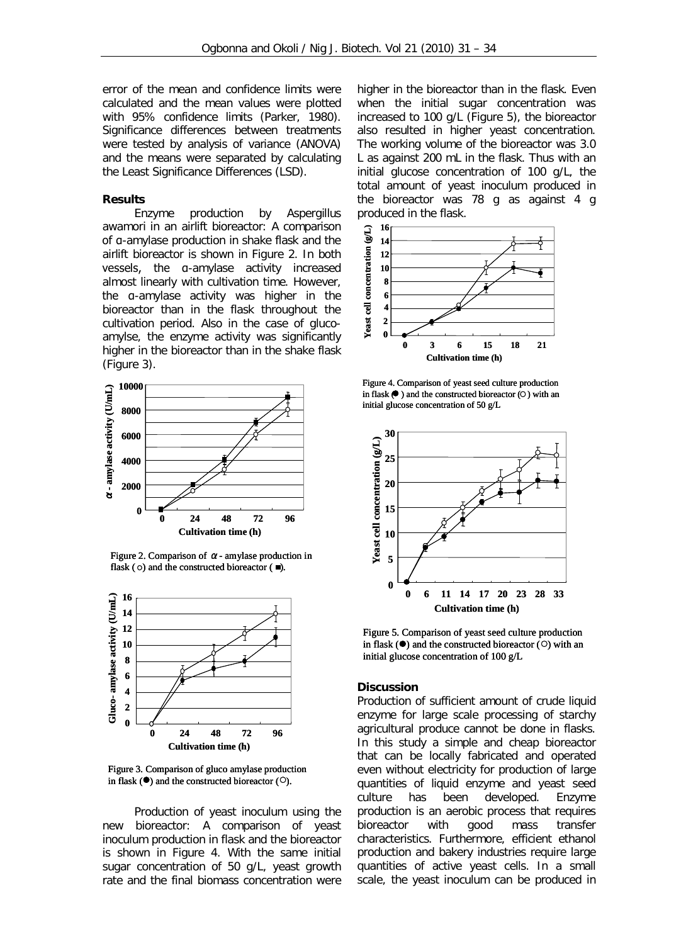error of the mean and confidence limits were calculated and the mean values were plotted with 95% confidence limits (Parker, 1980). Significance differences between treatments were tested by analysis of variance (ANOVA) and the means were separated by calculating the Least Significance Differences (LSD).

#### **Results**

 *Enzyme production by Aspergillus awamori in an airlift bioreactor*: A comparison of α-amylase production in shake flask and the airlift bioreactor is shown in Figure 2. In both vessels, the α-amylase activity increased almost linearly with cultivation time. However, the α-amylase activity was higher in the bioreactor than in the flask throughout the cultivation period. Also in the case of glucoamylse, the enzyme activity was significantly higher in the bioreactor than in the shake flask (Figure 3).







Figure 3. Comparison of gluco amylase production in flask  $(\bullet)$  and the constructed bioreactor  $(\circ)$ .

 *Production of yeast inoculum using the new bioreactor*: A comparison of yeast inoculum production in flask and the bioreactor is shown in Figure 4. With the same initial sugar concentration of 50 g/L, yeast growth rate and the final biomass concentration were higher in the bioreactor than in the flask. Even when the initial sugar concentration was increased to 100 g/L (Figure 5), the bioreactor also resulted in higher yeast concentration. The working volume of the bioreactor was 3.0 L as against 200 mL in the flask. Thus with an initial glucose concentration of 100 g/L, the total amount of yeast inoculum produced in the bioreactor was 78 g as against 4 g produced in the flask.



Figure 4. Comparison of yeast seed culture production in flask  $\bullet$  ) and the constructed bioreactor  $\circ$  with an initial glucose concentration of 50 g/L



Figure 5. Comparison of yeast seed culture production in flask  $($ <sup>o</sup>) and the constructed bioreactor  $($ O $)$  with an initial glucose concentration of 100 g/L

#### **Discussion**

Production of sufficient amount of crude liquid enzyme for large scale processing of starchy agricultural produce cannot be done in flasks. In this study a simple and cheap bioreactor that can be locally fabricated and operated even without electricity for production of large quantities of liquid enzyme and yeast seed culture has been developed. Enzyme production is an aerobic process that requires bioreactor with good mass transfer characteristics. Furthermore, efficient ethanol production and bakery industries require large quantities of active yeast cells. In a small scale, the yeast inoculum can be produced in